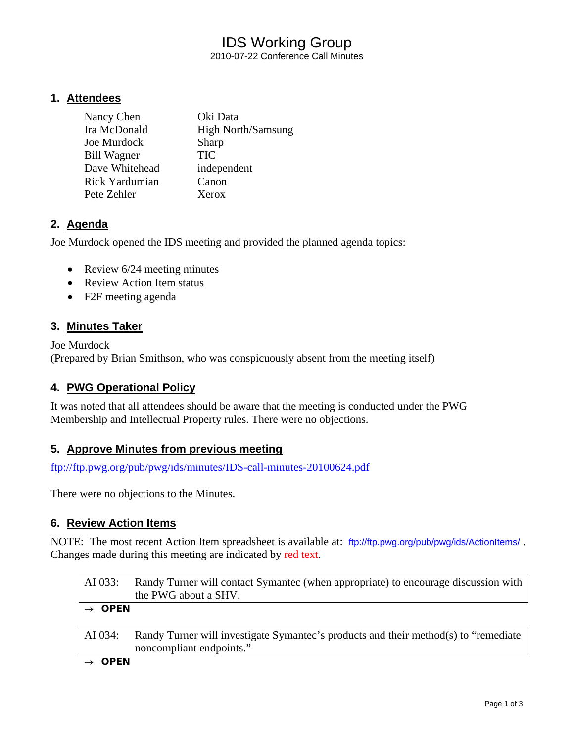# IDS Working Group

2010-07-22 Conference Call Minutes

# **1. Attendees**

| Nancy Chen            | Oki Data                  |
|-----------------------|---------------------------|
| Ira McDonald          | <b>High North/Samsung</b> |
| Joe Murdock           | Sharp                     |
| <b>Bill Wagner</b>    | <b>TIC</b>                |
| Dave Whitehead        | independent               |
| <b>Rick Yardumian</b> | Canon                     |
| Pete Zehler           | Xerox                     |

# **2. Agenda**

Joe Murdock opened the IDS meeting and provided the planned agenda topics:

- Review 6/24 meeting minutes
- Review Action Item status
- F2F meeting agenda

# **3. Minutes Taker**

Joe Murdock (Prepared by Brian Smithson, who was conspicuously absent from the meeting itself)

# **4. PWG Operational Policy**

It was noted that all attendees should be aware that the meeting is conducted under the PWG Membership and Intellectual Property rules. There were no objections.

# **5. Approve Minutes from previous meeting**

<ftp://ftp.pwg.org/pub/pwg/ids/minutes/IDS-call-minutes-20100624.pdf>

There were no objections to the Minutes.

# **6. Review Action Items**

NOTE: The most recent Action Item spreadsheet is available at: <ftp://ftp.pwg.org/pub/pwg/ids/ActionItems/> . Changes made during this meeting are indicated by red text.

| AI 033:  | Randy Turner will contact Symantec (when appropriate) to encourage discussion with |
|----------|------------------------------------------------------------------------------------|
|          | the PWG about a SHV.                                                               |
| $\cdots$ |                                                                                    |

#### → *OPEN*

AI 034: Randy Turner will investigate Symantec's products and their method(s) to "remediate noncompliant endpoints."

→ *OPEN*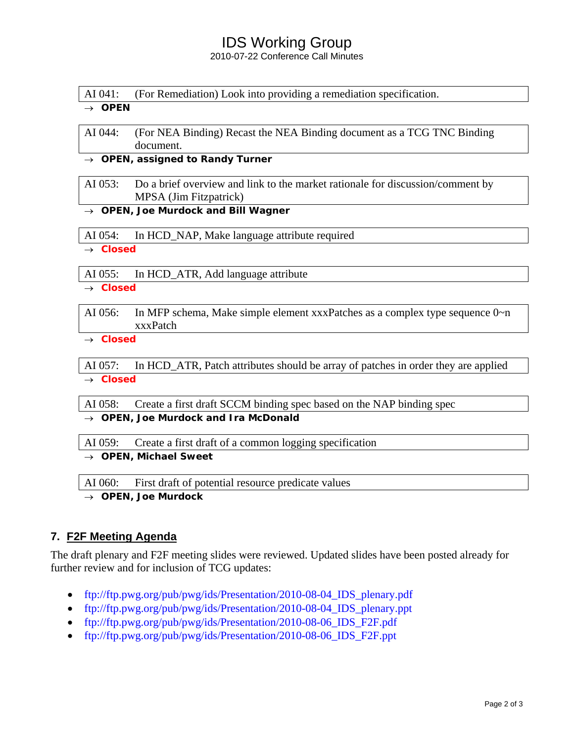# IDS Working Group

2010-07-22 Conference Call Minutes

AI 041: (For Remediation) Look into providing a remediation specification.

#### → *OPEN*

AI 044: (For NEA Binding) Recast the NEA Binding document as a TCG TNC Binding document.

→ *OPEN, assigned to Randy Turner*

#### AI 053: Do a brief overview and link to the market rationale for discussion/comment by MPSA (Jim Fitzpatrick)

→ *OPEN, Joe Murdock and Bill Wagner* 

AI 054: In HCD\_NAP, Make language attribute required

→ *Closed*

AI 055: In HCD\_ATR, Add language attribute

→ *Closed*

AI 056: In MFP schema, Make simple element xxxPatches as a complex type sequence 0~n xxxPatch

→ *Closed*

AI 057: In HCD\_ATR, Patch attributes should be array of patches in order they are applied → *Closed*

AI 058: Create a first draft SCCM binding spec based on the NAP binding spec

→ *OPEN, Joe Murdock and Ira McDonald* 

AI 059: Create a first draft of a common logging specification

→ *OPEN, Michael Sweet* 

AI 060: First draft of potential resource predicate values

→ *OPEN, Joe Murdock* 

# **7. F2F Meeting Agenda**

The draft plenary and F2F meeting slides were reviewed. Updated slides have been posted already for further review and for inclusion of TCG updates:

- [ftp://ftp.pwg.org/pub/pwg/ids/Presentation/2010-08-04\\_IDS\\_plenary.pdf](ftp://ftp.pwg.org/pub/pwg/ids/Presentation/2010-08-04_IDS_plenary.pdf)
- ftp://ftp.pwg.org/pub/pwg/ids/Presentation/2010-08-04 IDS plenary.ppt
- [ftp://ftp.pwg.org/pub/pwg/ids/Presentation/2010-08-06\\_IDS\\_F2F.pdf](ftp://ftp.pwg.org/pub/pwg/ids/Presentation/2010-08-06_IDS_F2F.pdf)
- [ftp://ftp.pwg.org/pub/pwg/ids/Presentation/2010-08-06\\_IDS\\_F2F.ppt](ftp://ftp.pwg.org/pub/pwg/ids/Presentation/2010-08-06_IDS_F2F.ppt)